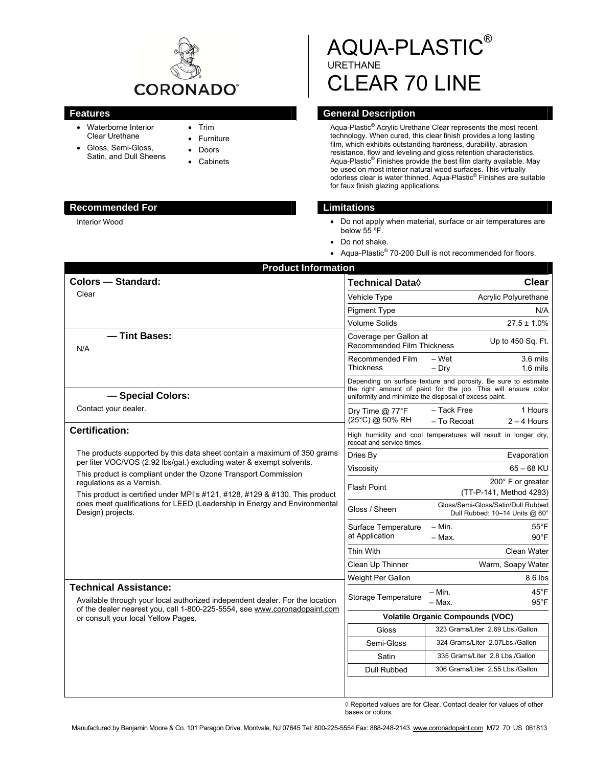

- Waterborne Interior Clear Urethane
- Gloss, Semi-Gloss, Satin, and Dull Sheens
- Trim Furniture
- Doors
- 
- **Cabinets**

### **Recommended For Limitations Limitations**

Interior Wood

# AQUA-PLASTIC® URETHANE CLEAR 70 LINE

# **Features General Description Contract Contract Operators** General Description

Aqua-Plastic® Acrylic Urethane Clear represents the most recent technology. When cured, this clear finish provides a long lasting film, which exhibits outstanding hardness, durability, abrasion resistance, flow and leveling and gloss retention characteristics. Aqua-Plastic® Finishes provide the best film clarity available. May be used on most interior natural wood surfaces. This virtually odorless clear is water thinned. Aqua-Plastic® Finishes are suitable for faux finish glazing applications.

- Do not apply when material, surface or air temperatures are below 55 °F.
- Do not shake.
- Aqua-Plastic<sup>®</sup> 70-200 Dull is not recommended for floors.

| <b>Product Information</b>                                                                                                                                                                                                                                                                                                                           |                                                      |                                                                                                                                                                                          |
|------------------------------------------------------------------------------------------------------------------------------------------------------------------------------------------------------------------------------------------------------------------------------------------------------------------------------------------------------|------------------------------------------------------|------------------------------------------------------------------------------------------------------------------------------------------------------------------------------------------|
| <b>Colors - Standard:</b>                                                                                                                                                                                                                                                                                                                            | <b>Technical Data</b> ♦                              | Clear                                                                                                                                                                                    |
| Clear                                                                                                                                                                                                                                                                                                                                                | Vehicle Type                                         | Acrylic Polyurethane                                                                                                                                                                     |
|                                                                                                                                                                                                                                                                                                                                                      | <b>Pigment Type</b>                                  | N/A                                                                                                                                                                                      |
|                                                                                                                                                                                                                                                                                                                                                      | <b>Volume Solids</b>                                 | $27.5 \pm 1.0\%$                                                                                                                                                                         |
| - Tint Bases:<br>N/A                                                                                                                                                                                                                                                                                                                                 | Coverage per Gallon at<br>Recommended Film Thickness | Up to 450 Sq. Ft.                                                                                                                                                                        |
|                                                                                                                                                                                                                                                                                                                                                      | Recommended Film<br><b>Thickness</b>                 | - Wet<br>3.6 mils<br>$1.6$ mils<br>$-$ Dry                                                                                                                                               |
| - Special Colors:                                                                                                                                                                                                                                                                                                                                    |                                                      | Depending on surface texture and porosity. Be sure to estimate<br>the right amount of paint for the job. This will ensure color<br>uniformity and minimize the disposal of excess paint. |
| Contact your dealer.                                                                                                                                                                                                                                                                                                                                 | Dry Time @ 77°F<br>(25°C) @ 50% RH                   | 1 Hours<br>- Tack Free<br>$2 - 4$ Hours<br>- To Recoat                                                                                                                                   |
| <b>Certification:</b>                                                                                                                                                                                                                                                                                                                                | recoat and service times.                            | High humidity and cool temperatures will result in longer dry,                                                                                                                           |
| The products supported by this data sheet contain a maximum of 350 grams                                                                                                                                                                                                                                                                             | Dries By                                             | Evaporation                                                                                                                                                                              |
| per liter VOC/VOS (2.92 lbs/gal.) excluding water & exempt solvents.<br>This product is compliant under the Ozone Transport Commission<br>regulations as a Varnish.<br>This product is certified under MPI's #121, #128, #129 & #130. This product<br>does meet qualifications for LEED (Leadership in Energy and Environmental<br>Design) projects. | Viscosity                                            | $65 - 68$ KU                                                                                                                                                                             |
|                                                                                                                                                                                                                                                                                                                                                      | <b>Flash Point</b>                                   | 200° F or greater<br>(TT-P-141, Method 4293)                                                                                                                                             |
|                                                                                                                                                                                                                                                                                                                                                      | Gloss / Sheen                                        | Gloss/Semi-Gloss/Satin/Dull Rubbed<br>Dull Rubbed: 10-14 Units @ 60°                                                                                                                     |
|                                                                                                                                                                                                                                                                                                                                                      | Surface Temperature<br>at Application                | – Min.<br>$55^{\circ}$ F<br>$90^{\circ}$ F<br>- Max.                                                                                                                                     |
|                                                                                                                                                                                                                                                                                                                                                      | Thin With                                            | Clean Water                                                                                                                                                                              |
|                                                                                                                                                                                                                                                                                                                                                      | Clean Up Thinner                                     | Warm, Soapy Water                                                                                                                                                                        |
|                                                                                                                                                                                                                                                                                                                                                      | Weight Per Gallon                                    | 8.6 lbs                                                                                                                                                                                  |
| <b>Technical Assistance:</b><br>Available through your local authorized independent dealer. For the location<br>of the dealer nearest you, call 1-800-225-5554, see www.coronadopaint.com<br>or consult your local Yellow Pages.                                                                                                                     | Storage Temperature                                  | $45^{\circ}$ F<br>– Min.<br>- Max.<br>$95^{\circ}$ F                                                                                                                                     |
|                                                                                                                                                                                                                                                                                                                                                      | <b>Volatile Organic Compounds (VOC)</b>              |                                                                                                                                                                                          |
|                                                                                                                                                                                                                                                                                                                                                      | Gloss                                                | 323 Grams/Liter 2.69 Lbs./Gallon                                                                                                                                                         |
|                                                                                                                                                                                                                                                                                                                                                      | Semi-Gloss                                           | 324 Grams/Liter 2.07Lbs./Gallon                                                                                                                                                          |
|                                                                                                                                                                                                                                                                                                                                                      | Satin                                                | 335 Grams/Liter 2.8 Lbs./Gallon                                                                                                                                                          |
|                                                                                                                                                                                                                                                                                                                                                      | <b>Dull Rubbed</b>                                   | 306 Grams/Liter 2.55 Lbs./Gallon                                                                                                                                                         |
|                                                                                                                                                                                                                                                                                                                                                      |                                                      |                                                                                                                                                                                          |

◊ Reported values are for Clear. Contact dealer for values of other bases or colors.